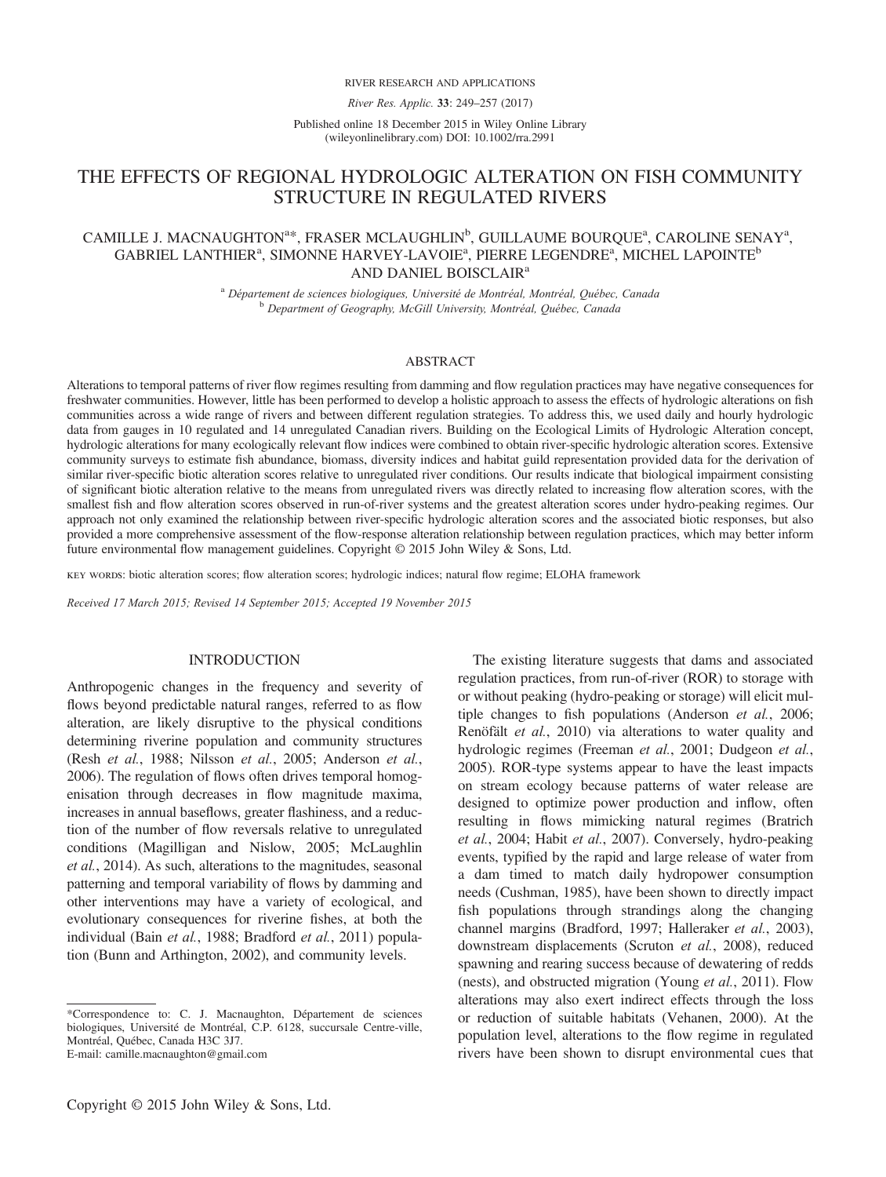#### RIVER RESEARCH AND APPLICATIONS

River Res. Applic. 33: 249–257 (2017)

Published online 18 December 2015 in Wiley Online Library (wileyonlinelibrary.com) DOI: 10.1002/rra.2991

## THE EFFECTS OF REGIONAL HYDROLOGIC ALTERATION ON FISH COMMUNITY STRUCTURE IN REGULATED RIVERS

## CAMILLE J. MACNAUGHTON<sup>a\*</sup>, FRASER MCLAUGHLIN<sup>b</sup>, GUILLAUME BOURQUE<sup>a</sup>, CAROLINE SENAY<sup>a</sup>, GABRIEL LANTHIER<sup>a</sup>, SIMONNE HARVEY-LAVOIE<sup>a</sup>, PIERRE LEGENDRE<sup>a</sup>, MICHEL LAPOINTE<sup>b</sup> AND DANIEL BOISCLAIR<sup>a</sup>

<sup>a</sup> Département de sciences biologiques, Université de Montréal, Montréal, Québec, Canada b Department of Geography, McGill University, Montréal, Québec, Canada

#### ABSTRACT

Alterations to temporal patterns of river flow regimes resulting from damming and flow regulation practices may have negative consequences for freshwater communities. However, little has been performed to develop a holistic approach to assess the effects of hydrologic alterations on fish communities across a wide range of rivers and between different regulation strategies. To address this, we used daily and hourly hydrologic data from gauges in 10 regulated and 14 unregulated Canadian rivers. Building on the Ecological Limits of Hydrologic Alteration concept, hydrologic alterations for many ecologically relevant flow indices were combined to obtain river-specific hydrologic alteration scores. Extensive community surveys to estimate fish abundance, biomass, diversity indices and habitat guild representation provided data for the derivation of similar river-specific biotic alteration scores relative to unregulated river conditions. Our results indicate that biological impairment consisting of significant biotic alteration relative to the means from unregulated rivers was directly related to increasing flow alteration scores, with the smallest fish and flow alteration scores observed in run-of-river systems and the greatest alteration scores under hydro-peaking regimes. Our approach not only examined the relationship between river-specific hydrologic alteration scores and the associated biotic responses, but also provided a more comprehensive assessment of the flow-response alteration relationship between regulation practices, which may better inform future environmental flow management guidelines. Copyright © 2015 John Wiley & Sons, Ltd.

key words: biotic alteration scores; flow alteration scores; hydrologic indices; natural flow regime; ELOHA framework

Received 17 March 2015; Revised 14 September 2015; Accepted 19 November 2015

## INTRODUCTION

Anthropogenic changes in the frequency and severity of flows beyond predictable natural ranges, referred to as flow alteration, are likely disruptive to the physical conditions determining riverine population and community structures (Resh et al., 1988; Nilsson et al., 2005; Anderson et al., 2006). The regulation of flows often drives temporal homogenisation through decreases in flow magnitude maxima, increases in annual baseflows, greater flashiness, and a reduction of the number of flow reversals relative to unregulated conditions (Magilligan and Nislow, 2005; McLaughlin et al., 2014). As such, alterations to the magnitudes, seasonal patterning and temporal variability of flows by damming and other interventions may have a variety of ecological, and evolutionary consequences for riverine fishes, at both the individual (Bain et al., 1988; Bradford et al., 2011) population (Bunn and Arthington, 2002), and community levels.

E-mail: camille.macnaughton@gmail.com

The existing literature suggests that dams and associated regulation practices, from run-of-river (ROR) to storage with or without peaking (hydro-peaking or storage) will elicit multiple changes to fish populations (Anderson et al., 2006; Renöfält et al., 2010) via alterations to water quality and hydrologic regimes (Freeman et al., 2001; Dudgeon et al., 2005). ROR-type systems appear to have the least impacts on stream ecology because patterns of water release are designed to optimize power production and inflow, often resulting in flows mimicking natural regimes (Bratrich et al., 2004; Habit et al., 2007). Conversely, hydro-peaking events, typified by the rapid and large release of water from a dam timed to match daily hydropower consumption needs (Cushman, 1985), have been shown to directly impact fish populations through strandings along the changing channel margins (Bradford, 1997; Halleraker et al., 2003), downstream displacements (Scruton et al., 2008), reduced spawning and rearing success because of dewatering of redds (nests), and obstructed migration (Young et al., 2011). Flow alterations may also exert indirect effects through the loss or reduction of suitable habitats (Vehanen, 2000). At the population level, alterations to the flow regime in regulated rivers have been shown to disrupt environmental cues that

<sup>\*</sup>Correspondence to: C. J. Macnaughton, Département de sciences biologiques, Université de Montréal, C.P. 6128, succursale Centre-ville, Montréal, Québec, Canada H3C 3J7.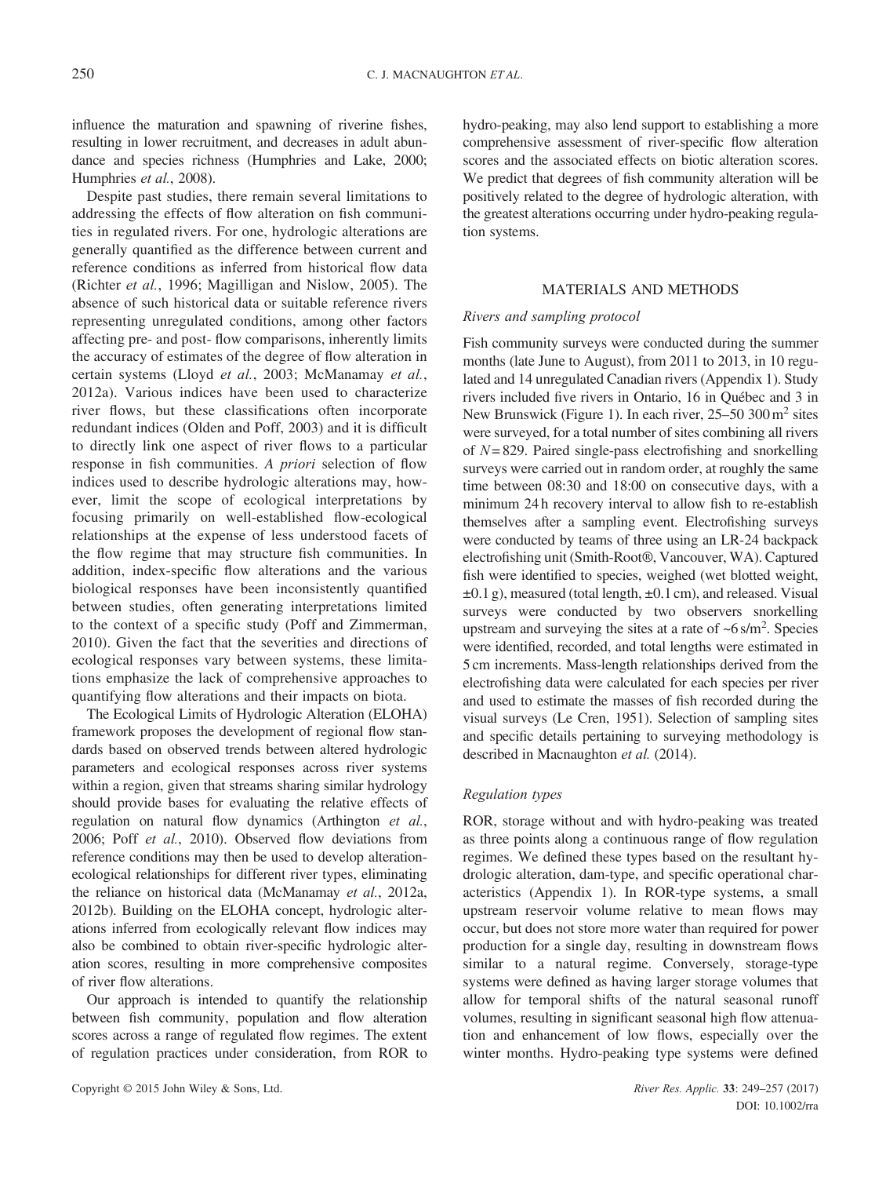influence the maturation and spawning of riverine fishes, resulting in lower recruitment, and decreases in adult abundance and species richness (Humphries and Lake, 2000; Humphries et al., 2008).

Despite past studies, there remain several limitations to addressing the effects of flow alteration on fish communities in regulated rivers. For one, hydrologic alterations are generally quantified as the difference between current and reference conditions as inferred from historical flow data (Richter et al., 1996; Magilligan and Nislow, 2005). The absence of such historical data or suitable reference rivers representing unregulated conditions, among other factors affecting pre- and post- flow comparisons, inherently limits the accuracy of estimates of the degree of flow alteration in certain systems (Lloyd et al., 2003; McManamay et al., 2012a). Various indices have been used to characterize river flows, but these classifications often incorporate redundant indices (Olden and Poff, 2003) and it is difficult to directly link one aspect of river flows to a particular response in fish communities. A priori selection of flow indices used to describe hydrologic alterations may, however, limit the scope of ecological interpretations by focusing primarily on well-established flow-ecological relationships at the expense of less understood facets of the flow regime that may structure fish communities. In addition, index-specific flow alterations and the various biological responses have been inconsistently quantified between studies, often generating interpretations limited to the context of a specific study (Poff and Zimmerman, 2010). Given the fact that the severities and directions of ecological responses vary between systems, these limitations emphasize the lack of comprehensive approaches to quantifying flow alterations and their impacts on biota.

The Ecological Limits of Hydrologic Alteration (ELOHA) framework proposes the development of regional flow standards based on observed trends between altered hydrologic parameters and ecological responses across river systems within a region, given that streams sharing similar hydrology should provide bases for evaluating the relative effects of regulation on natural flow dynamics (Arthington et al., 2006; Poff et al., 2010). Observed flow deviations from reference conditions may then be used to develop alterationecological relationships for different river types, eliminating the reliance on historical data (McManamay et al., 2012a, 2012b). Building on the ELOHA concept, hydrologic alterations inferred from ecologically relevant flow indices may also be combined to obtain river-specific hydrologic alteration scores, resulting in more comprehensive composites of river flow alterations.

Our approach is intended to quantify the relationship between fish community, population and flow alteration scores across a range of regulated flow regimes. The extent of regulation practices under consideration, from ROR to hydro-peaking, may also lend support to establishing a more comprehensive assessment of river-specific flow alteration scores and the associated effects on biotic alteration scores. We predict that degrees of fish community alteration will be positively related to the degree of hydrologic alteration, with the greatest alterations occurring under hydro-peaking regulation systems.

#### MATERIALS AND METHODS

## Rivers and sampling protocol

Fish community surveys were conducted during the summer months (late June to August), from 2011 to 2013, in 10 regulated and 14 unregulated Canadian rivers (Appendix 1). Study rivers included five rivers in Ontario, 16 in Québec and 3 in New Brunswick (Figure 1). In each river, 25–50 300 m<sup>2</sup> sites were surveyed, for a total number of sites combining all rivers of  $N=829$ . Paired single-pass electrofishing and snorkelling surveys were carried out in random order, at roughly the same time between 08:30 and 18:00 on consecutive days, with a minimum 24 h recovery interval to allow fish to re-establish themselves after a sampling event. Electrofishing surveys were conducted by teams of three using an LR-24 backpack electrofishing unit (Smith-Root®, Vancouver, WA). Captured fish were identified to species, weighed (wet blotted weight,  $\pm 0.1$  g), measured (total length,  $\pm 0.1$  cm), and released. Visual surveys were conducted by two observers snorkelling upstream and surveying the sites at a rate of  $\sim 6 \text{ s/m}^2$ . Species were identified, recorded, and total lengths were estimated in 5 cm increments. Mass-length relationships derived from the electrofishing data were calculated for each species per river and used to estimate the masses of fish recorded during the visual surveys (Le Cren, 1951). Selection of sampling sites and specific details pertaining to surveying methodology is described in Macnaughton et al. (2014).

## Regulation types

ROR, storage without and with hydro-peaking was treated as three points along a continuous range of flow regulation regimes. We defined these types based on the resultant hydrologic alteration, dam-type, and specific operational characteristics (Appendix 1). In ROR-type systems, a small upstream reservoir volume relative to mean flows may occur, but does not store more water than required for power production for a single day, resulting in downstream flows similar to a natural regime. Conversely, storage-type systems were defined as having larger storage volumes that allow for temporal shifts of the natural seasonal runoff volumes, resulting in significant seasonal high flow attenuation and enhancement of low flows, especially over the winter months. Hydro-peaking type systems were defined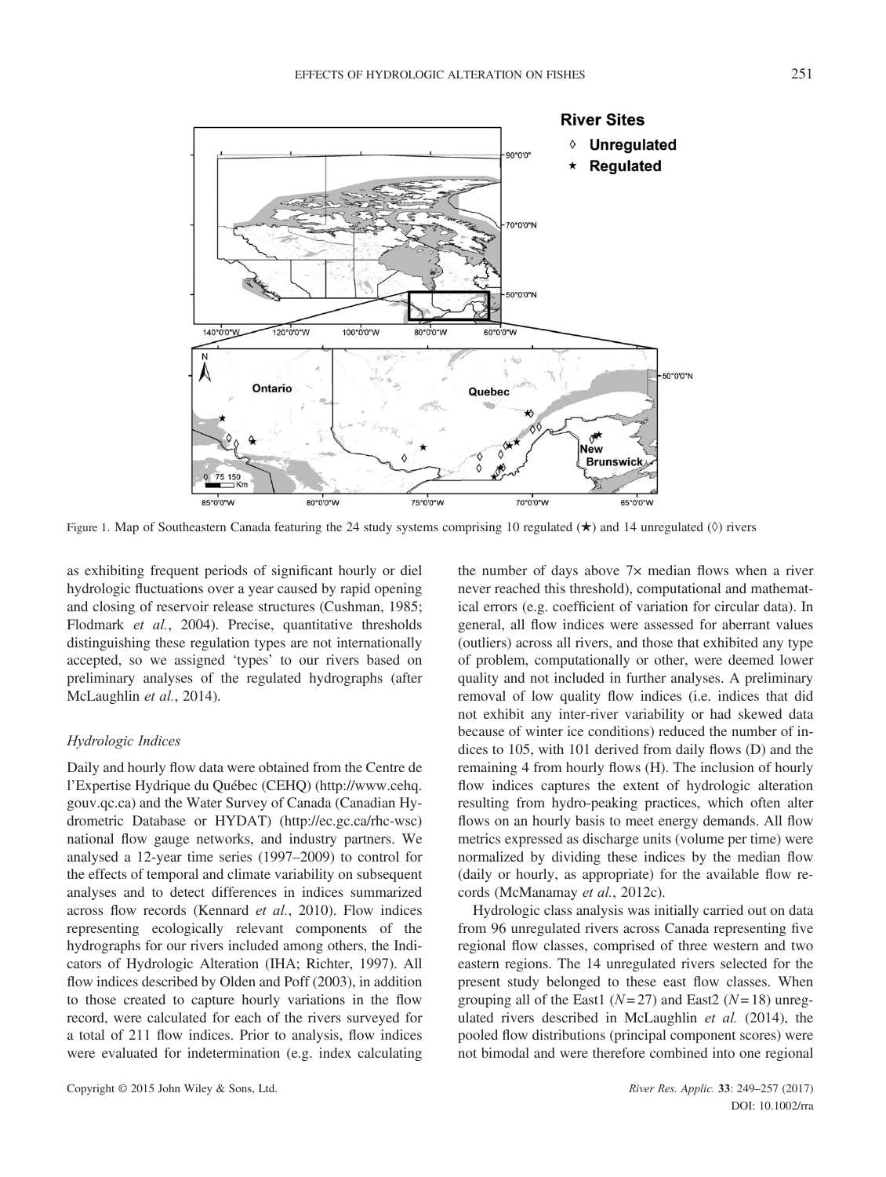

Figure 1. Map of Southeastern Canada featuring the 24 study systems comprising 10 regulated  $(\star)$  and 14 unregulated  $(\lozenge)$  rivers

as exhibiting frequent periods of significant hourly or diel hydrologic fluctuations over a year caused by rapid opening and closing of reservoir release structures (Cushman, 1985; Flodmark et al., 2004). Precise, quantitative thresholds distinguishing these regulation types are not internationally accepted, so we assigned 'types' to our rivers based on preliminary analyses of the regulated hydrographs (after McLaughlin et al., 2014).

## Hydrologic Indices

Daily and hourly flow data were obtained from the Centre de l'Expertise Hydrique du Québec (CEHQ) [\(http://www.cehq.](http://www.cehq.gouv.qc.ca) [gouv.qc.ca](http://www.cehq.gouv.qc.ca)) and the Water Survey of Canada (Canadian Hydrometric Database or HYDAT) [\(http://ec.gc.ca/rhc-wsc\)](http://ec.gc.ca/rhc-wsc) national flow gauge networks, and industry partners. We analysed a 12-year time series (1997–2009) to control for the effects of temporal and climate variability on subsequent analyses and to detect differences in indices summarized across flow records (Kennard et al., 2010). Flow indices representing ecologically relevant components of the hydrographs for our rivers included among others, the Indicators of Hydrologic Alteration (IHA; Richter, 1997). All flow indices described by Olden and Poff (2003), in addition to those created to capture hourly variations in the flow record, were calculated for each of the rivers surveyed for a total of 211 flow indices. Prior to analysis, flow indices were evaluated for indetermination (e.g. index calculating the number of days above  $7\times$  median flows when a river never reached this threshold), computational and mathematical errors (e.g. coefficient of variation for circular data). In general, all flow indices were assessed for aberrant values (outliers) across all rivers, and those that exhibited any type of problem, computationally or other, were deemed lower quality and not included in further analyses. A preliminary removal of low quality flow indices (i.e. indices that did not exhibit any inter-river variability or had skewed data because of winter ice conditions) reduced the number of indices to 105, with 101 derived from daily flows (D) and the remaining 4 from hourly flows (H). The inclusion of hourly flow indices captures the extent of hydrologic alteration resulting from hydro-peaking practices, which often alter flows on an hourly basis to meet energy demands. All flow metrics expressed as discharge units (volume per time) were normalized by dividing these indices by the median flow (daily or hourly, as appropriate) for the available flow records (McManamay et al., 2012c).

Hydrologic class analysis was initially carried out on data from 96 unregulated rivers across Canada representing five regional flow classes, comprised of three western and two eastern regions. The 14 unregulated rivers selected for the present study belonged to these east flow classes. When grouping all of the East1 ( $N=27$ ) and East2 ( $N=18$ ) unregulated rivers described in McLaughlin et al. (2014), the pooled flow distributions (principal component scores) were not bimodal and were therefore combined into one regional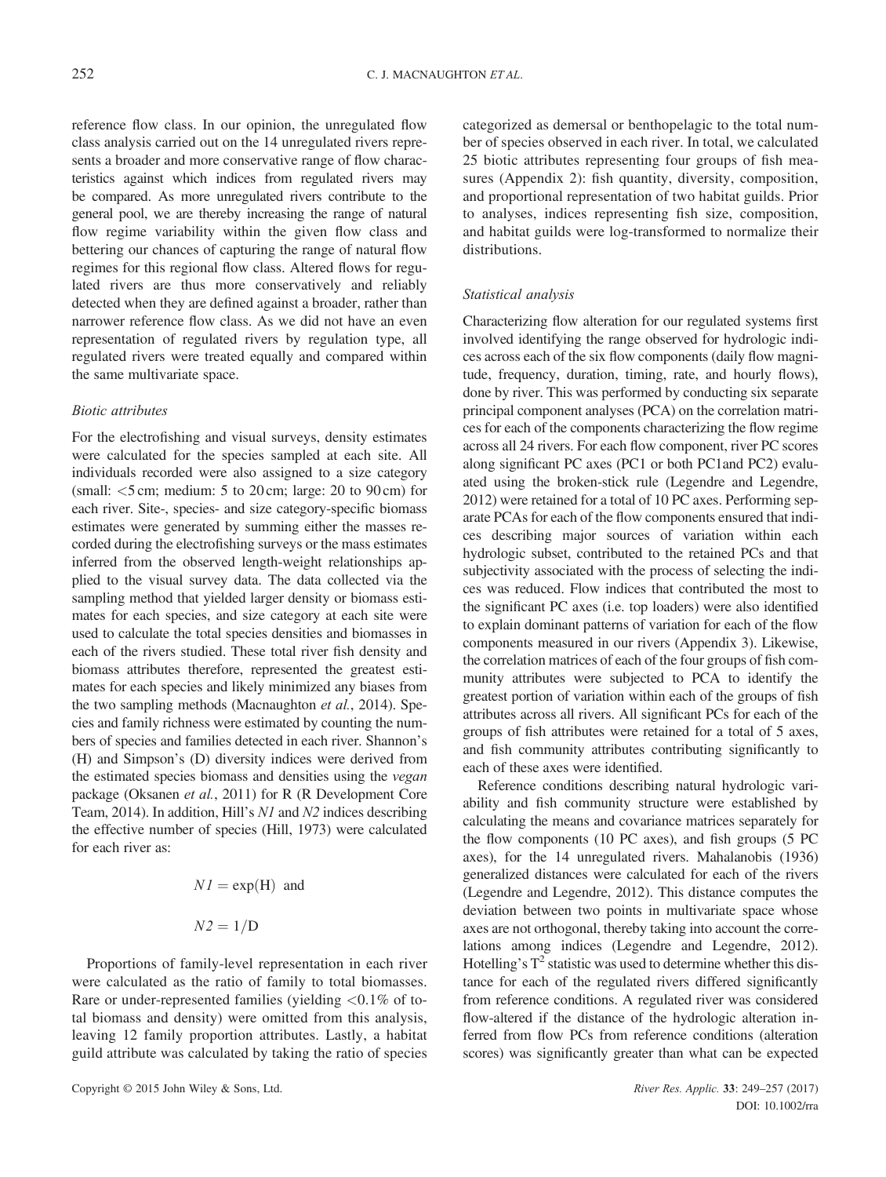reference flow class. In our opinion, the unregulated flow class analysis carried out on the 14 unregulated rivers represents a broader and more conservative range of flow characteristics against which indices from regulated rivers may be compared. As more unregulated rivers contribute to the general pool, we are thereby increasing the range of natural flow regime variability within the given flow class and bettering our chances of capturing the range of natural flow regimes for this regional flow class. Altered flows for regulated rivers are thus more conservatively and reliably detected when they are defined against a broader, rather than narrower reference flow class. As we did not have an even representation of regulated rivers by regulation type, all regulated rivers were treated equally and compared within the same multivariate space.

#### Biotic attributes

For the electrofishing and visual surveys, density estimates were calculated for the species sampled at each site. All individuals recorded were also assigned to a size category (small:  $\leq$ 5 cm; medium: 5 to 20 cm; large: 20 to 90 cm) for each river. Site-, species- and size category-specific biomass estimates were generated by summing either the masses recorded during the electrofishing surveys or the mass estimates inferred from the observed length-weight relationships applied to the visual survey data. The data collected via the sampling method that yielded larger density or biomass estimates for each species, and size category at each site were used to calculate the total species densities and biomasses in each of the rivers studied. These total river fish density and biomass attributes therefore, represented the greatest estimates for each species and likely minimized any biases from the two sampling methods (Macnaughton et al., 2014). Species and family richness were estimated by counting the numbers of species and families detected in each river. Shannon's (H) and Simpson's (D) diversity indices were derived from the estimated species biomass and densities using the vegan package (Oksanen et al., 2011) for R (R Development Core Team, 2014). In addition, Hill's N1 and N2 indices describing the effective number of species (Hill, 1973) were calculated for each river as:

# $NI = \exp(H)$  and  $N2 = 1/D$

Proportions of family-level representation in each river were calculated as the ratio of family to total biomasses. Rare or under-represented families (yielding  $\langle 0.1\%$  of total biomass and density) were omitted from this analysis, leaving 12 family proportion attributes. Lastly, a habitat guild attribute was calculated by taking the ratio of species categorized as demersal or benthopelagic to the total number of species observed in each river. In total, we calculated 25 biotic attributes representing four groups of fish measures (Appendix 2): fish quantity, diversity, composition, and proportional representation of two habitat guilds. Prior to analyses, indices representing fish size, composition, and habitat guilds were log-transformed to normalize their distributions.

#### Statistical analysis

Characterizing flow alteration for our regulated systems first involved identifying the range observed for hydrologic indices across each of the six flow components (daily flow magnitude, frequency, duration, timing, rate, and hourly flows), done by river. This was performed by conducting six separate principal component analyses (PCA) on the correlation matrices for each of the components characterizing the flow regime across all 24 rivers. For each flow component, river PC scores along significant PC axes (PC1 or both PC1and PC2) evaluated using the broken-stick rule (Legendre and Legendre, 2012) were retained for a total of 10 PC axes. Performing separate PCAs for each of the flow components ensured that indices describing major sources of variation within each hydrologic subset, contributed to the retained PCs and that subjectivity associated with the process of selecting the indices was reduced. Flow indices that contributed the most to the significant PC axes (i.e. top loaders) were also identified to explain dominant patterns of variation for each of the flow components measured in our rivers (Appendix 3). Likewise, the correlation matrices of each of the four groups of fish community attributes were subjected to PCA to identify the greatest portion of variation within each of the groups of fish attributes across all rivers. All significant PCs for each of the groups of fish attributes were retained for a total of 5 axes, and fish community attributes contributing significantly to each of these axes were identified.

Reference conditions describing natural hydrologic variability and fish community structure were established by calculating the means and covariance matrices separately for the flow components (10 PC axes), and fish groups (5 PC axes), for the 14 unregulated rivers. Mahalanobis (1936) generalized distances were calculated for each of the rivers (Legendre and Legendre, 2012). This distance computes the deviation between two points in multivariate space whose axes are not orthogonal, thereby taking into account the correlations among indices (Legendre and Legendre, 2012). Hotelling's  $T^2$  statistic was used to determine whether this distance for each of the regulated rivers differed significantly from reference conditions. A regulated river was considered flow-altered if the distance of the hydrologic alteration inferred from flow PCs from reference conditions (alteration scores) was significantly greater than what can be expected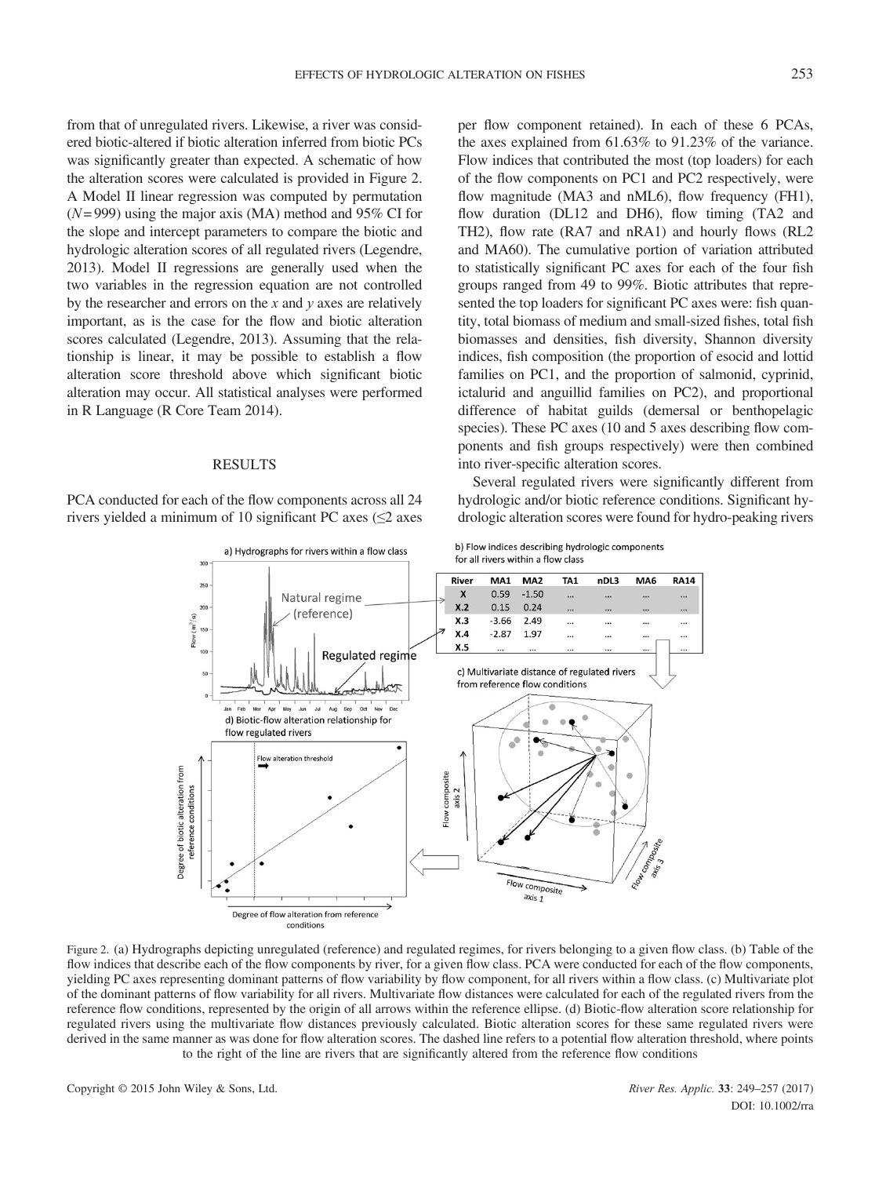from that of unregulated rivers. Likewise, a river was considered biotic-altered if biotic alteration inferred from biotic PCs was significantly greater than expected. A schematic of how the alteration scores were calculated is provided in Figure 2. A Model II linear regression was computed by permutation  $(N= 999)$  using the major axis (MA) method and 95% CI for the slope and intercept parameters to compare the biotic and hydrologic alteration scores of all regulated rivers (Legendre, 2013). Model II regressions are generally used when the two variables in the regression equation are not controlled by the researcher and errors on the x and  $\nu$  axes are relatively important, as is the case for the flow and biotic alteration scores calculated (Legendre, 2013). Assuming that the relationship is linear, it may be possible to establish a flow alteration score threshold above which significant biotic alteration may occur. All statistical analyses were performed in R Language (R Core Team 2014).

## **RESULTS**

PCA conducted for each of the flow components across all 24 rivers yielded a minimum of 10 significant PC axes (≤2 axes per flow component retained). In each of these 6 PCAs, the axes explained from 61.63% to 91.23% of the variance. Flow indices that contributed the most (top loaders) for each of the flow components on PC1 and PC2 respectively, were flow magnitude (MA3 and nML6), flow frequency (FH1), flow duration (DL12 and DH6), flow timing (TA2 and TH2), flow rate (RA7 and nRA1) and hourly flows (RL2 and MA60). The cumulative portion of variation attributed to statistically significant PC axes for each of the four fish groups ranged from 49 to 99%. Biotic attributes that represented the top loaders for significant PC axes were: fish quantity, total biomass of medium and small-sized fishes, total fish biomasses and densities, fish diversity, Shannon diversity indices, fish composition (the proportion of esocid and lottid families on PC1, and the proportion of salmonid, cyprinid, ictalurid and anguillid families on PC2), and proportional difference of habitat guilds (demersal or benthopelagic species). These PC axes (10 and 5 axes describing flow components and fish groups respectively) were then combined into river-specific alteration scores.

Several regulated rivers were significantly different from hydrologic and/or biotic reference conditions. Significant hydrologic alteration scores were found for hydro-peaking rivers





Figure 2. (a) Hydrographs depicting unregulated (reference) and regulated regimes, for rivers belonging to a given flow class. (b) Table of the flow indices that describe each of the flow components by river, for a given flow class. PCA were conducted for each of the flow components, yielding PC axes representing dominant patterns of flow variability by flow component, for all rivers within a flow class. (c) Multivariate plot of the dominant patterns of flow variability for all rivers. Multivariate flow distances were calculated for each of the regulated rivers from the reference flow conditions, represented by the origin of all arrows within the reference ellipse. (d) Biotic-flow alteration score relationship for regulated rivers using the multivariate flow distances previously calculated. Biotic alteration scores for these same regulated rivers were derived in the same manner as was done for flow alteration scores. The dashed line refers to a potential flow alteration threshold, where points to the right of the line are rivers that are significantly altered from the reference flow conditions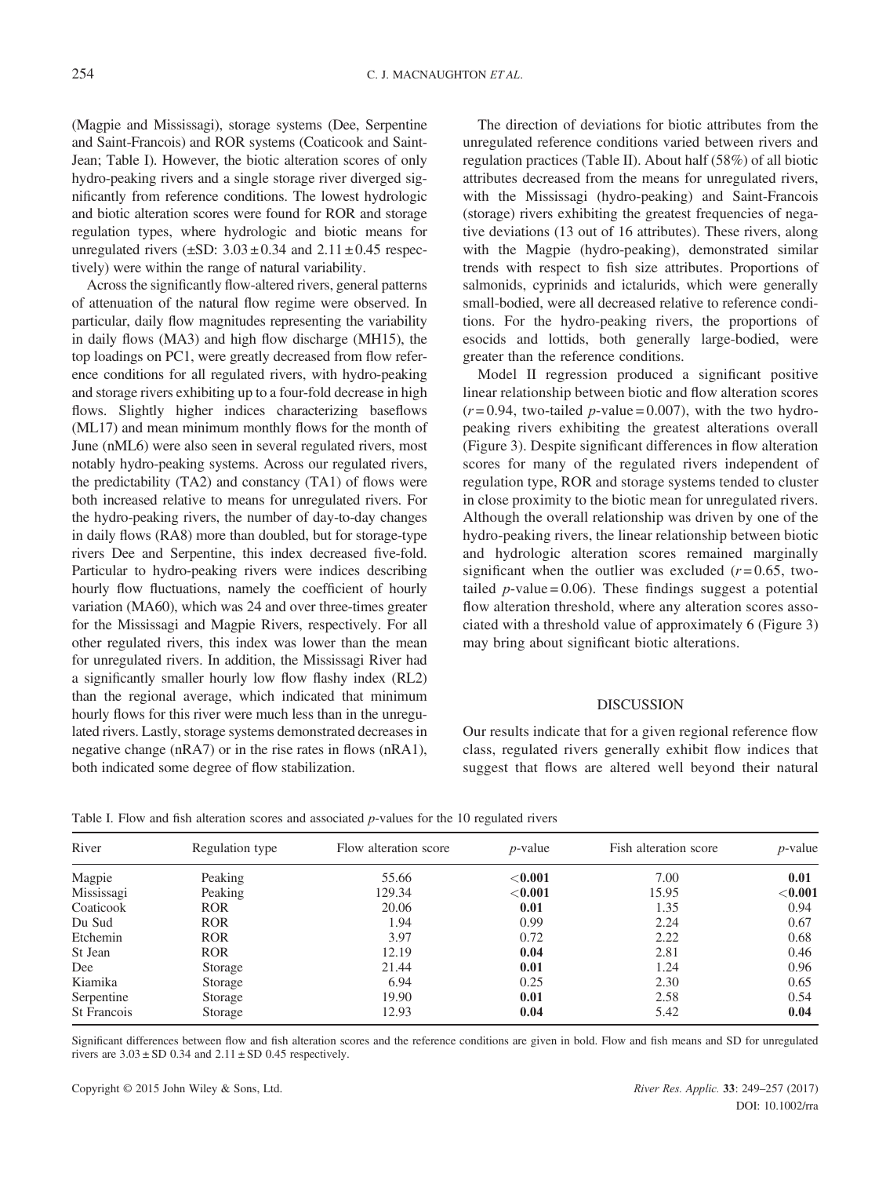(Magpie and Mississagi), storage systems (Dee, Serpentine and Saint-Francois) and ROR systems (Coaticook and Saint-Jean; Table I). However, the biotic alteration scores of only hydro-peaking rivers and a single storage river diverged significantly from reference conditions. The lowest hydrologic and biotic alteration scores were found for ROR and storage regulation types, where hydrologic and biotic means for unregulated rivers  $(\pm SD: 3.03 \pm 0.34$  and  $2.11 \pm 0.45$  respectively) were within the range of natural variability.

Across the significantly flow-altered rivers, general patterns of attenuation of the natural flow regime were observed. In particular, daily flow magnitudes representing the variability in daily flows (MA3) and high flow discharge (MH15), the top loadings on PC1, were greatly decreased from flow reference conditions for all regulated rivers, with hydro-peaking and storage rivers exhibiting up to a four-fold decrease in high flows. Slightly higher indices characterizing baseflows (ML17) and mean minimum monthly flows for the month of June (nML6) were also seen in several regulated rivers, most notably hydro-peaking systems. Across our regulated rivers, the predictability (TA2) and constancy (TA1) of flows were both increased relative to means for unregulated rivers. For the hydro-peaking rivers, the number of day-to-day changes in daily flows (RA8) more than doubled, but for storage-type rivers Dee and Serpentine, this index decreased five-fold. Particular to hydro-peaking rivers were indices describing hourly flow fluctuations, namely the coefficient of hourly variation (MA60), which was 24 and over three-times greater for the Mississagi and Magpie Rivers, respectively. For all other regulated rivers, this index was lower than the mean for unregulated rivers. In addition, the Mississagi River had a significantly smaller hourly low flow flashy index (RL2) than the regional average, which indicated that minimum hourly flows for this river were much less than in the unregulated rivers. Lastly, storage systems demonstrated decreases in negative change (nRA7) or in the rise rates in flows (nRA1), both indicated some degree of flow stabilization.

The direction of deviations for biotic attributes from the unregulated reference conditions varied between rivers and regulation practices (Table II). About half (58%) of all biotic attributes decreased from the means for unregulated rivers, with the Mississagi (hydro-peaking) and Saint-Francois (storage) rivers exhibiting the greatest frequencies of negative deviations (13 out of 16 attributes). These rivers, along with the Magpie (hydro-peaking), demonstrated similar trends with respect to fish size attributes. Proportions of salmonids, cyprinids and ictalurids, which were generally small-bodied, were all decreased relative to reference conditions. For the hydro-peaking rivers, the proportions of esocids and lottids, both generally large-bodied, were greater than the reference conditions.

Model II regression produced a significant positive linear relationship between biotic and flow alteration scores  $(r=0.94,$  two-tailed p-value = 0.007), with the two hydropeaking rivers exhibiting the greatest alterations overall (Figure 3). Despite significant differences in flow alteration scores for many of the regulated rivers independent of regulation type, ROR and storage systems tended to cluster in close proximity to the biotic mean for unregulated rivers. Although the overall relationship was driven by one of the hydro-peaking rivers, the linear relationship between biotic and hydrologic alteration scores remained marginally significant when the outlier was excluded  $(r=0.65, w=0.65)$ tailed  $p$ -value = 0.06). These findings suggest a potential flow alteration threshold, where any alteration scores associated with a threshold value of approximately 6 (Figure 3) may bring about significant biotic alterations.

#### DISCUSSION

Our results indicate that for a given regional reference flow class, regulated rivers generally exhibit flow indices that suggest that flows are altered well beyond their natural

| Table I. Flow and fish alteration scores and associated p-values for the 10 regulated rivers |  |
|----------------------------------------------------------------------------------------------|--|
|----------------------------------------------------------------------------------------------|--|

| River              | Regulation type | Flow alteration score | $p$ -value | Fish alteration score | $p$ -value     |
|--------------------|-----------------|-----------------------|------------|-----------------------|----------------|
| Magpie             | Peaking         | 55.66                 | ${<}0.001$ | 7.00                  | 0.01           |
| Mississagi         | Peaking         | 129.34                | ${<}0.001$ | 15.95                 | $<$ 0.001 $\,$ |
| Coaticook          | <b>ROR</b>      | 20.06                 | 0.01       | 1.35                  | 0.94           |
| Du Sud             | <b>ROR</b>      | 1.94                  | 0.99       | 2.24                  | 0.67           |
| Etchemin           | <b>ROR</b>      | 3.97                  | 0.72       | 2.22                  | 0.68           |
| St Jean            | <b>ROR</b>      | 12.19                 | 0.04       | 2.81                  | 0.46           |
| Dee                | Storage         | 21.44                 | 0.01       | 1.24                  | 0.96           |
| Kiamika            | Storage         | 6.94                  | 0.25       | 2.30                  | 0.65           |
| Serpentine         | Storage         | 19.90                 | 0.01       | 2.58                  | 0.54           |
| <b>St Francois</b> | Storage         | 12.93                 | 0.04       | 5.42                  | 0.04           |

Significant differences between flow and fish alteration scores and the reference conditions are given in bold. Flow and fish means and SD for unregulated rivers are  $3.03 \pm SD$  0.34 and  $2.11 \pm SD$  0.45 respectively.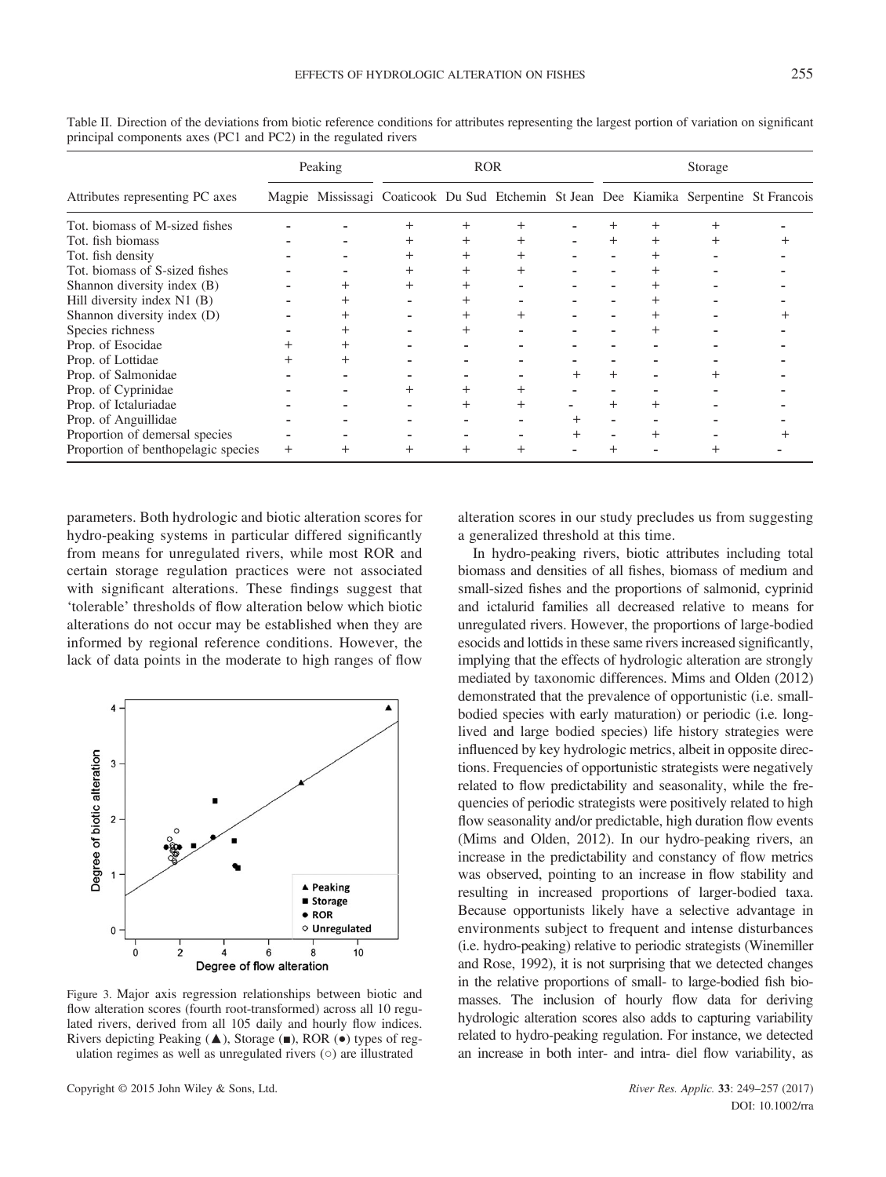|                                     | Peaking   |                                                                                        | <b>ROR</b> |  |  | Storage |        |       |  |  |
|-------------------------------------|-----------|----------------------------------------------------------------------------------------|------------|--|--|---------|--------|-------|--|--|
| Attributes representing PC axes     |           | Magpie Mississagi Coaticook Du Sud Etchemin St Jean Dee Kiamika Serpentine St Francois |            |  |  |         |        |       |  |  |
| Tot. biomass of M-sized fishes      |           |                                                                                        |            |  |  |         |        |       |  |  |
| Tot. fish biomass                   |           |                                                                                        |            |  |  |         | $^{+}$ | $\pm$ |  |  |
| Tot. fish density                   |           |                                                                                        |            |  |  |         |        |       |  |  |
| Tot. biomass of S-sized fishes      |           |                                                                                        |            |  |  |         |        |       |  |  |
| Shannon diversity index (B)         |           |                                                                                        |            |  |  |         |        |       |  |  |
| Hill diversity index N1 (B)         |           |                                                                                        |            |  |  |         |        |       |  |  |
| Shannon diversity index (D)         |           |                                                                                        |            |  |  |         |        |       |  |  |
| Species richness                    |           |                                                                                        |            |  |  |         |        |       |  |  |
| Prop. of Esocidae                   |           |                                                                                        |            |  |  |         |        |       |  |  |
| Prop. of Lottidae                   |           |                                                                                        |            |  |  |         |        |       |  |  |
| Prop. of Salmonidae                 |           |                                                                                        |            |  |  |         |        |       |  |  |
| Prop. of Cyprinidae                 |           |                                                                                        |            |  |  |         |        |       |  |  |
| Prop. of Ictaluriadae               |           |                                                                                        |            |  |  |         |        |       |  |  |
| Prop. of Anguillidae                |           |                                                                                        |            |  |  |         |        |       |  |  |
| Proportion of demersal species      |           |                                                                                        |            |  |  |         |        |       |  |  |
| Proportion of benthopelagic species | $\ddot{}$ |                                                                                        |            |  |  |         |        |       |  |  |

Table II. Direction of the deviations from biotic reference conditions for attributes representing the largest portion of variation on significant principal components axes (PC1 and PC2) in the regulated rivers

parameters. Both hydrologic and biotic alteration scores for hydro-peaking systems in particular differed significantly from means for unregulated rivers, while most ROR and certain storage regulation practices were not associated with significant alterations. These findings suggest that 'tolerable' thresholds of flow alteration below which biotic alterations do not occur may be established when they are informed by regional reference conditions. However, the lack of data points in the moderate to high ranges of flow



Figure 3. Major axis regression relationships between biotic and flow alteration scores (fourth root-transformed) across all 10 regulated rivers, derived from all 105 daily and hourly flow indices. Rivers depicting Peaking (▲), Storage (■), ROR (●) types of regulation regimes as well as unregulated rivers (○) are illustrated

alteration scores in our study precludes us from suggesting a generalized threshold at this time.

In hydro-peaking rivers, biotic attributes including total biomass and densities of all fishes, biomass of medium and small-sized fishes and the proportions of salmonid, cyprinid and ictalurid families all decreased relative to means for unregulated rivers. However, the proportions of large-bodied esocids and lottids in these same rivers increased significantly, implying that the effects of hydrologic alteration are strongly mediated by taxonomic differences. Mims and Olden (2012) demonstrated that the prevalence of opportunistic (i.e. smallbodied species with early maturation) or periodic (i.e. longlived and large bodied species) life history strategies were influenced by key hydrologic metrics, albeit in opposite directions. Frequencies of opportunistic strategists were negatively related to flow predictability and seasonality, while the frequencies of periodic strategists were positively related to high flow seasonality and/or predictable, high duration flow events (Mims and Olden, 2012). In our hydro-peaking rivers, an increase in the predictability and constancy of flow metrics was observed, pointing to an increase in flow stability and resulting in increased proportions of larger-bodied taxa. Because opportunists likely have a selective advantage in environments subject to frequent and intense disturbances (i.e. hydro-peaking) relative to periodic strategists (Winemiller and Rose, 1992), it is not surprising that we detected changes in the relative proportions of small- to large-bodied fish biomasses. The inclusion of hourly flow data for deriving hydrologic alteration scores also adds to capturing variability related to hydro-peaking regulation. For instance, we detected an increase in both inter- and intra- diel flow variability, as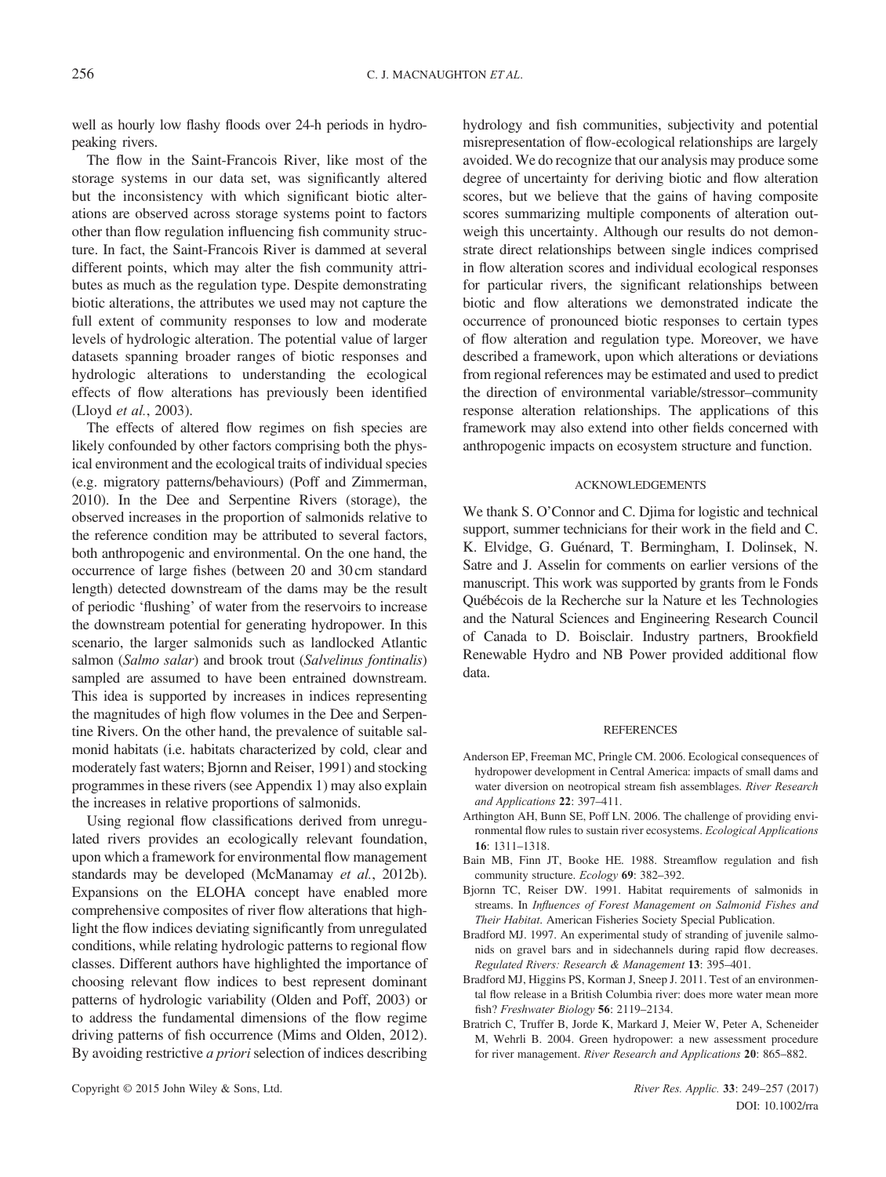well as hourly low flashy floods over 24-h periods in hydropeaking rivers.

The flow in the Saint-Francois River, like most of the storage systems in our data set, was significantly altered but the inconsistency with which significant biotic alterations are observed across storage systems point to factors other than flow regulation influencing fish community structure. In fact, the Saint-Francois River is dammed at several different points, which may alter the fish community attributes as much as the regulation type. Despite demonstrating biotic alterations, the attributes we used may not capture the full extent of community responses to low and moderate levels of hydrologic alteration. The potential value of larger datasets spanning broader ranges of biotic responses and hydrologic alterations to understanding the ecological effects of flow alterations has previously been identified (Lloyd et al., 2003).

The effects of altered flow regimes on fish species are likely confounded by other factors comprising both the physical environment and the ecological traits of individual species (e.g. migratory patterns/behaviours) (Poff and Zimmerman, 2010). In the Dee and Serpentine Rivers (storage), the observed increases in the proportion of salmonids relative to the reference condition may be attributed to several factors, both anthropogenic and environmental. On the one hand, the occurrence of large fishes (between 20 and 30 cm standard length) detected downstream of the dams may be the result of periodic 'flushing' of water from the reservoirs to increase the downstream potential for generating hydropower. In this scenario, the larger salmonids such as landlocked Atlantic salmon (Salmo salar) and brook trout (Salvelinus fontinalis) sampled are assumed to have been entrained downstream. This idea is supported by increases in indices representing the magnitudes of high flow volumes in the Dee and Serpentine Rivers. On the other hand, the prevalence of suitable salmonid habitats (i.e. habitats characterized by cold, clear and moderately fast waters; Bjornn and Reiser, 1991) and stocking programmes in these rivers (see Appendix 1) may also explain the increases in relative proportions of salmonids.

Using regional flow classifications derived from unregulated rivers provides an ecologically relevant foundation, upon which a framework for environmental flow management standards may be developed (McManamay et al., 2012b). Expansions on the ELOHA concept have enabled more comprehensive composites of river flow alterations that highlight the flow indices deviating significantly from unregulated conditions, while relating hydrologic patterns to regional flow classes. Different authors have highlighted the importance of choosing relevant flow indices to best represent dominant patterns of hydrologic variability (Olden and Poff, 2003) or to address the fundamental dimensions of the flow regime driving patterns of fish occurrence (Mims and Olden, 2012). By avoiding restrictive a priori selection of indices describing

hydrology and fish communities, subjectivity and potential misrepresentation of flow-ecological relationships are largely avoided. We do recognize that our analysis may produce some degree of uncertainty for deriving biotic and flow alteration scores, but we believe that the gains of having composite scores summarizing multiple components of alteration outweigh this uncertainty. Although our results do not demonstrate direct relationships between single indices comprised in flow alteration scores and individual ecological responses for particular rivers, the significant relationships between biotic and flow alterations we demonstrated indicate the occurrence of pronounced biotic responses to certain types of flow alteration and regulation type. Moreover, we have described a framework, upon which alterations or deviations from regional references may be estimated and used to predict the direction of environmental variable/stressor–community response alteration relationships. The applications of this framework may also extend into other fields concerned with anthropogenic impacts on ecosystem structure and function.

#### ACKNOWLEDGEMENTS

We thank S. O'Connor and C. Djima for logistic and technical support, summer technicians for their work in the field and C. K. Elvidge, G. Guénard, T. Bermingham, I. Dolinsek, N. Satre and J. Asselin for comments on earlier versions of the manuscript. This work was supported by grants from le Fonds Québécois de la Recherche sur la Nature et les Technologies and the Natural Sciences and Engineering Research Council of Canada to D. Boisclair. Industry partners, Brookfield Renewable Hydro and NB Power provided additional flow data.

#### REFERENCES

- Anderson EP, Freeman MC, Pringle CM. 2006. Ecological consequences of hydropower development in Central America: impacts of small dams and water diversion on neotropical stream fish assemblages. River Research and Applications 22: 397–411.
- Arthington AH, Bunn SE, Poff LN. 2006. The challenge of providing environmental flow rules to sustain river ecosystems. Ecological Applications 16: 1311–1318.
- Bain MB, Finn JT, Booke HE. 1988. Streamflow regulation and fish community structure. Ecology 69: 382–392.
- Bjornn TC, Reiser DW. 1991. Habitat requirements of salmonids in streams. In Influences of Forest Management on Salmonid Fishes and Their Habitat. American Fisheries Society Special Publication.
- Bradford MJ. 1997. An experimental study of stranding of juvenile salmonids on gravel bars and in sidechannels during rapid flow decreases. Regulated Rivers: Research & Management 13: 395–401.
- Bradford MJ, Higgins PS, Korman J, Sneep J. 2011. Test of an environmental flow release in a British Columbia river: does more water mean more fish? Freshwater Biology 56: 2119–2134.
- Bratrich C, Truffer B, Jorde K, Markard J, Meier W, Peter A, Scheneider M, Wehrli B. 2004. Green hydropower: a new assessment procedure for river management. River Research and Applications 20: 865–882.